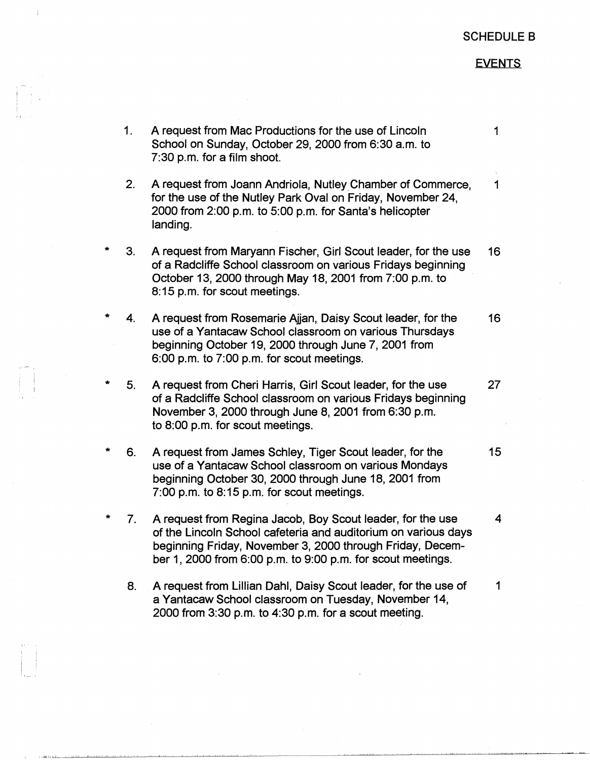## SCHEDULE 8

## **EVENTS**

- 1. A request from Mac Productions for the use of Lincoln 1 School on Sunday, October 29, 2000 from 6:30 a.m. to 7:30 p.m. for a film shoot.
- 2. A request from Joann Andriola, Nutley Chamber of Commerce, 1 for the use of the Nutley Park Oval on Friday, November 24, 2000 from 2:00 p.m. to 5:00 p.m. for Santa's helicopter landing.
- 3. A request from Maryann Fischer, Girl Scout leader, for the use 16 of a Radcliffe School classroom on various Fridays beginning October 13, 2000 through May 18, 2001 from 7:00 p.m. to 8:15 p.m. for scout meetings.
- $4.$ A request from Rosemarie Ajjan, Daisy Scout leader, for the 16 use of a Yantacaw School classroom on various Thursdays beginning October 19, 2000 through June 7, 2001 from 6:00 p.m. to 7:00 p.m. for scout meetings.
- \* 5. A request from Cheri Harris, Girl Scout leader, for the use 27 of a Radcliffe School classroom on various Fridays beginning November 3, 2000 through June 8, 2001 from 6:30 p.m. to 8:00 p.m. for scout meetings.
- 6. A request from James Schley, Tiger Scout leader, for the 15 use of a Yantacaw School classroom on various Mondays beginning October 30, 2000 through June 18, 2001 from 7:00 p.m. to 8:15 p.m. for scout meetings.
- \* 7. A request from Regina Jacob, Boy Scout leader, for the use 4 of the Lincoln School cafeteria and auditorium on various days beginning Friday, November 3, 2000 through Friday, December 1, 2000 from 6:00 p.m. to 9:00 p.m. for scout meetings.
	- 8. A request from Lillian Dahl, Daisy Scout leader, for the use of 1 a Yantacaw School classroom on Tuesday, November 14, 2000 from 3:30 p.m. to 4:30 p.m. for a scout meeting.

I I